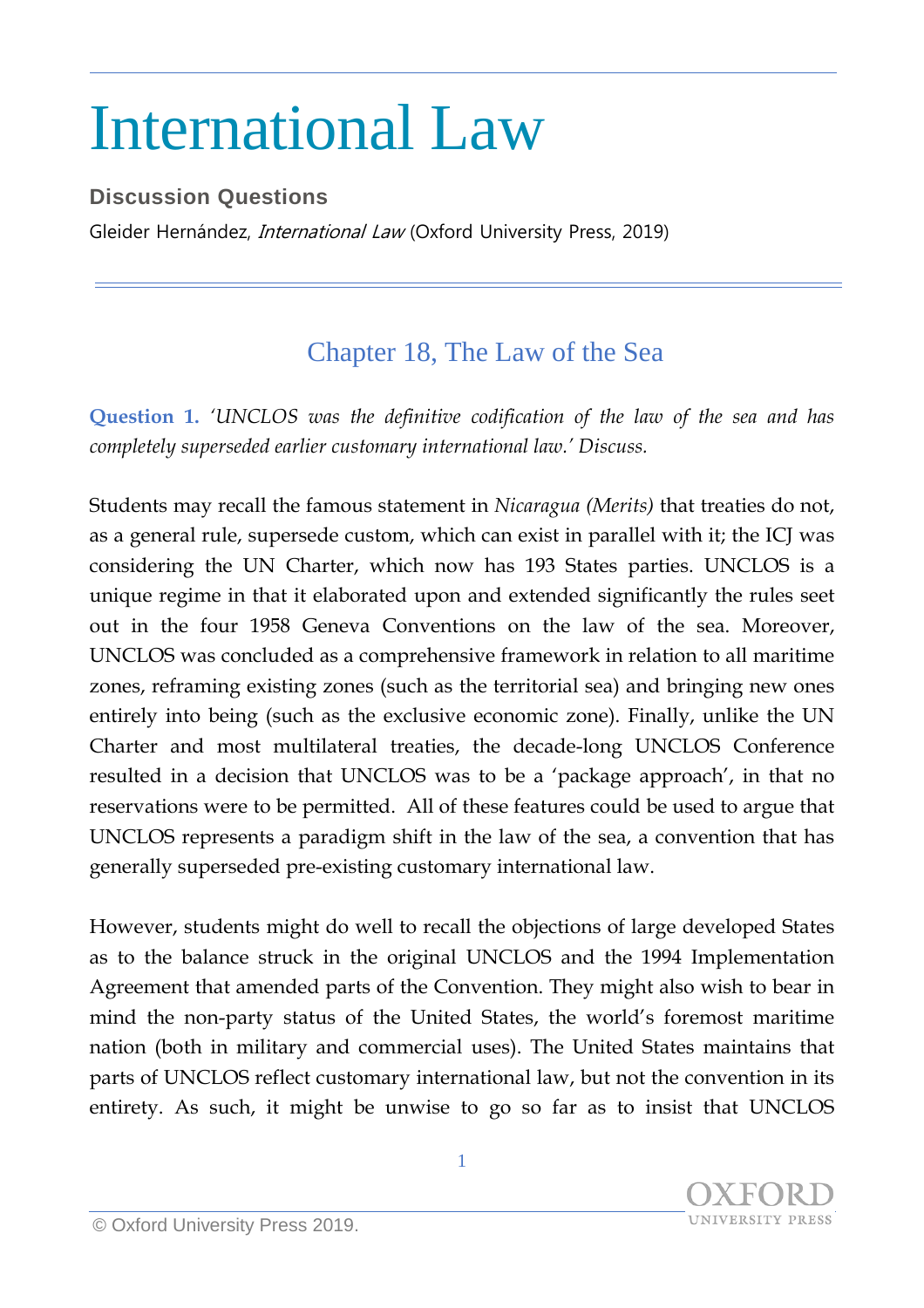## International Law

## **Discussion Questions**

Gleider Hernández, *International Law* (Oxford University Press, 2019)

## Chapter 18, The Law of the Sea

**Question 1.** *'UNCLOS was the definitive codification of the law of the sea and has completely superseded earlier customary international law.' Discuss.*

Students may recall the famous statement in *Nicaragua (Merits)* that treaties do not, as a general rule, supersede custom, which can exist in parallel with it; the ICJ was considering the UN Charter, which now has 193 States parties. UNCLOS is a unique regime in that it elaborated upon and extended significantly the rules seet out in the four 1958 Geneva Conventions on the law of the sea. Moreover, UNCLOS was concluded as a comprehensive framework in relation to all maritime zones, reframing existing zones (such as the territorial sea) and bringing new ones entirely into being (such as the exclusive economic zone). Finally, unlike the UN Charter and most multilateral treaties, the decade-long UNCLOS Conference resulted in a decision that UNCLOS was to be a 'package approach', in that no reservations were to be permitted. All of these features could be used to argue that UNCLOS represents a paradigm shift in the law of the sea, a convention that has generally superseded pre-existing customary international law.

However, students might do well to recall the objections of large developed States as to the balance struck in the original UNCLOS and the 1994 Implementation Agreement that amended parts of the Convention. They might also wish to bear in mind the non-party status of the United States, the world's foremost maritime nation (both in military and commercial uses). The United States maintains that parts of UNCLOS reflect customary international law, but not the convention in its entirety. As such, it might be unwise to go so far as to insist that UNCLOS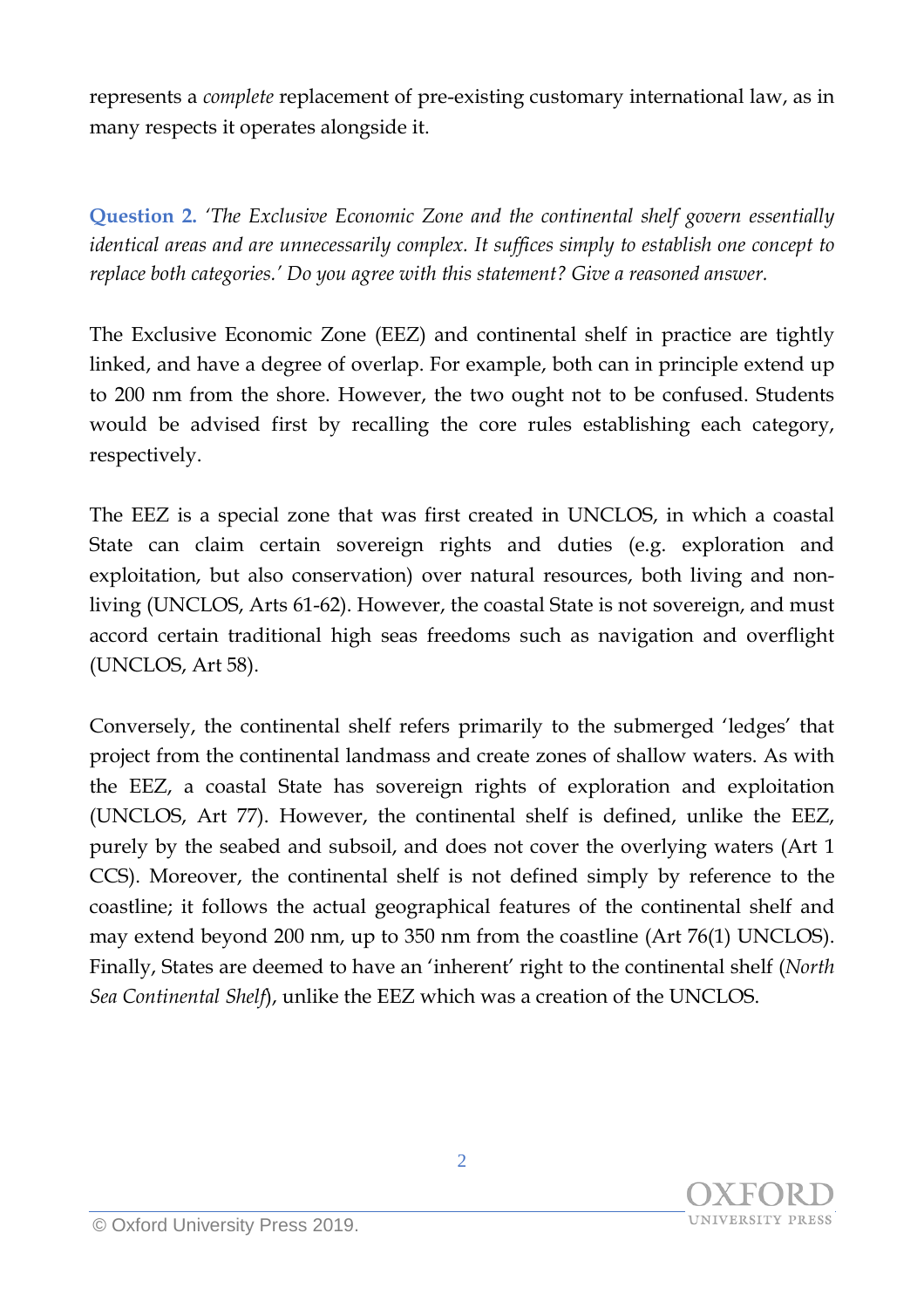represents a *complete* replacement of pre-existing customary international law, as in many respects it operates alongside it.

**Question 2.** *'The Exclusive Economic Zone and the continental shelf govern essentially identical areas and are unnecessarily complex. It suffices simply to establish one concept to replace both categories.' Do you agree with this statement? Give a reasoned answer.*

The Exclusive Economic Zone (EEZ) and continental shelf in practice are tightly linked, and have a degree of overlap. For example, both can in principle extend up to 200 nm from the shore. However, the two ought not to be confused. Students would be advised first by recalling the core rules establishing each category, respectively.

The EEZ is a special zone that was first created in UNCLOS, in which a coastal State can claim certain sovereign rights and duties (e.g. exploration and exploitation, but also conservation) over natural resources, both living and nonliving (UNCLOS, Arts 61-62). However, the coastal State is not sovereign, and must accord certain traditional high seas freedoms such as navigation and overflight (UNCLOS, Art 58).

Conversely, the continental shelf refers primarily to the submerged 'ledges' that project from the continental landmass and create zones of shallow waters. As with the EEZ, a coastal State has sovereign rights of exploration and exploitation (UNCLOS, Art 77). However, the continental shelf is defined, unlike the EEZ, purely by the seabed and subsoil, and does not cover the overlying waters (Art 1 CCS). Moreover, the continental shelf is not defined simply by reference to the coastline; it follows the actual geographical features of the continental shelf and may extend beyond 200 nm, up to 350 nm from the coastline (Art 76(1) UNCLOS). Finally, States are deemed to have an 'inherent' right to the continental shelf (*North Sea Continental Shelf*), unlike the EEZ which was a creation of the UNCLOS.